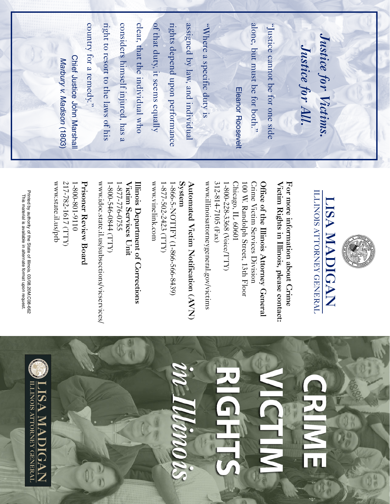



# **LISA MADIGAN MADIGAN**

**ILLINOIS ATTORNEY GENERAL** ILLINOIS ATTORNEY GENERAL

For more information about Crime **Victim Rights in Illinois, please contact: For more information about Crime** Victim Rights in Illinois, please contact:

www.illinoisattorneygeneral.gov/victims 312-814-7105 (Fax) Chicago, IL 60601 Crime Victim Services Division Office of the Illinois Attorney General www.illinoisattorneygeneral.gov/victims 312-814-7105 (Fax) 1-800-228-3368 (Voice/TTY) Chicago, IL 60601 Crime Victim Services Division **Office of the Illinois Attorney General** 1-800-228-3368 100 W. Randolph Street, 13th Floor 100 W. Randolph Street, 13th Floor (Voice/TTY)

**System** Automated Victim Notification (AVN) www.vinelink.com 1-866-5-NOTIFY (1-866-566-8439) **Automated Victim Notification (AVN)** 1-877-502-2423 (TTY) 1-877-502-2423 1-866-5-NOTIFY (1-866-566-8439)

www.vinelink.com

www.idoc.state.il.us/subsections/vicservices/ Illinois Department of Corrections www.idoc.state.il.us/subsections/vicservices/ **Victim Services Unit Illinois Department of Corrections** 1-800-546-0844 (TTY) 1-800-546-0844 1-877-776-0755 1-877-776-0755 Victim Services Unit

www.state.il.us/prb 217-782-1617 (TTY) Prisoner Review Board www.state.il.us/prb 217-782-1617 **Prisoner Review Board** 0116-108-008-1 1-800-801-9110

Printed by authority of the State of Illinois.Printed by authority of the State of Illinois. 03/08.20M.C08-662<br>This material is available in alternate format upon request. 03/08.20M.C08-662 This material is available in alternate format upon request.